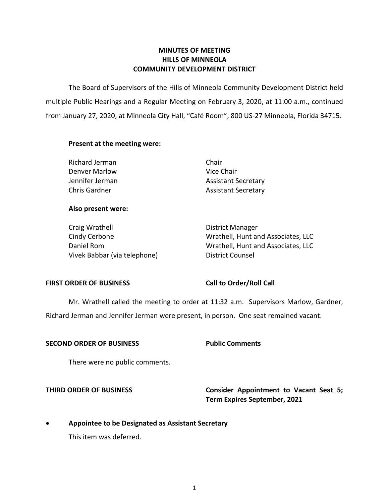### **COMMUNITY DEVELOPMENT DISTRICT MINUTES OF MEETING HILLS OF MINNEOLA**

 The Board of Supervisors of the Hills of Minneola Community Development District held multiple Public Hearings and a Regular Meeting on February 3, 2020, at 11:00 a.m., continued from January 27, 2020, at Minneola City Hall, "Café Room", 800 US-27 Minneola, Florida 34715.

### **Present at the meeting were:**

| Richard Jerman  | Chair                      |
|-----------------|----------------------------|
| Denver Marlow   | Vice Chair                 |
| Jennifer Jerman | <b>Assistant Secretary</b> |
| Chris Gardner   | <b>Assistant Secretary</b> |

### **Also present were:**

Craig Wrathell Daniel Rom Vivek Babbar (via telephone) District Counsel

 Cindy Cerbone Wrathell, Hunt and Associates, LLC District Manager Wrathell, Hunt and Associates, LLC

### **FIRST ORDER OF BUSINESS**

### **Call to Order/Roll Call**

Mr. Wrathell called the meeting to order at 11:32 a.m. Supervisors Marlow, Gardner,

Richard Jerman and Jennifer Jerman were present, in person. One seat remained vacant.

### **Public Comments SECOND ORDER OF BUSINESS**

There were no public comments.

**THIRD ORDER OF BUSINESS** Consider Appointment to Vacant Seat 5; **Term Expires September, 2021** 

 **Appointee to be Designated as Assistant Secretary** 

This item was deferred.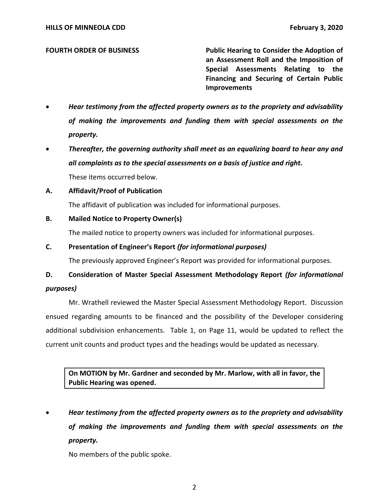### **FOURTH ORDER OF BUSINESS**

 **an Assessment Roll and the Imposition of Special Assessments Relating to the Financing and Securing of Certain Public Public Hearing to Consider the Adoption of Improvements** 

- *Hear testimony from the affected property owners as to the propriety and advisability of making the improvements and funding them with special assessments on the property.*
- **•** Thereafter, the governing authority shall meet as an equalizing board to hear any and  *all complaints as to the special assessments on a basis of justice and right.*  These items occurred below.
- **A. Affidavit/Proof of Publication**

The affidavit of publication was included for informational purposes.

### **B. Mailed Notice to Property Owner(s)**

The mailed notice to property owners was included for informational purposes.

### **C. Presentation of Engineer's Report** *(for informational purposes)*

The previously approved Engineer's Report was provided for informational purposes.

# **D. Consideration of Master Special Assessment Methodology Report** *(for informational purposes)*

 Mr. Wrathell reviewed the Master Special Assessment Methodology Report. Discussion ensued regarding amounts to be financed and the possibility of the Developer considering additional subdivision enhancements. Table 1, on Page 11, would be updated to reflect the current unit counts and product types and the headings would be updated as necessary.

 **On MOTION by Mr. Gardner and seconded by Mr. Marlow, with all in favor, the Public Hearing was opened.** 

 *Hear testimony from the affected property owners as to the propriety and advisability of making the improvements and funding them with special assessments on the property.* 

No members of the public spoke.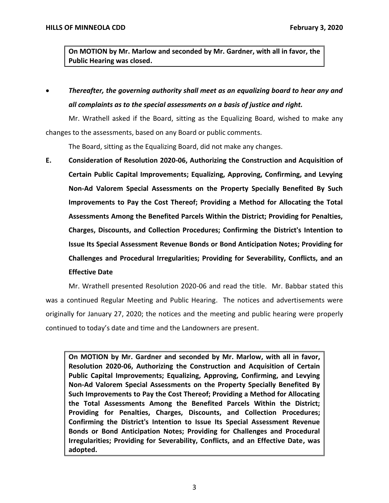**On MOTION by Mr. Marlow and seconded by Mr. Gardner, with all in favor, the Public Hearing was closed.** 

 *Thereafter, the governing authority shall meet as an equalizing board to hear any and all complaints as to the special assessments on a basis of justice and right.* 

 Mr. Wrathell asked if the Board, sitting as the Equalizing Board, wished to make any changes to the assessments, based on any Board or public comments.

The Board, sitting as the Equalizing Board, did not make any changes.

 **E. Consideration of Resolution 2020-06, Authorizing the Construction and Acquisition of Certain Public Capital Improvements; Equalizing, Approving, Confirming, and Levying Non-Ad Valorem Special Assessments on the Property Specially Benefited By Such Improvements to Pay the Cost Thereof; Providing a Method for Allocating the Total Assessments Among the Benefited Parcels Within the District; Providing for Penalties, Charges, Discounts, and Collection Procedures; Confirming the District's Intention to Issue Its Special Assessment Revenue Bonds or Bond Anticipation Notes; Providing for Challenges and Procedural Irregularities; Providing for Severability, Conflicts, and an Effective Date** 

 Mr. Wrathell presented Resolution 2020-06 and read the title. Mr. Babbar stated this was a continued Regular Meeting and Public Hearing. The notices and advertisements were originally for January 27, 2020; the notices and the meeting and public hearing were properly continued to today's date and time and the Landowners are present.

 **On MOTION by Mr. Gardner and seconded by Mr. Marlow, with all in favor, Resolution 2020-06, Authorizing the Construction and Acquisition of Certain Public Capital Improvements; Equalizing, Approving, Confirming, and Levying Non-Ad Valorem Special Assessments on the Property Specially Benefited By Such Improvements to Pay the Cost Thereof; Providing a Method for Allocating the Total Assessments Among the Benefited Parcels Within the District; Providing for Penalties, Charges, Discounts, and Collection Procedures; Confirming the District's Intention to Issue Its Special Assessment Revenue Bonds or Bond Anticipation Notes; Providing for Challenges and Procedural Irregularities; Providing for Severability, Conflicts, and an Effective Date, was adopted.**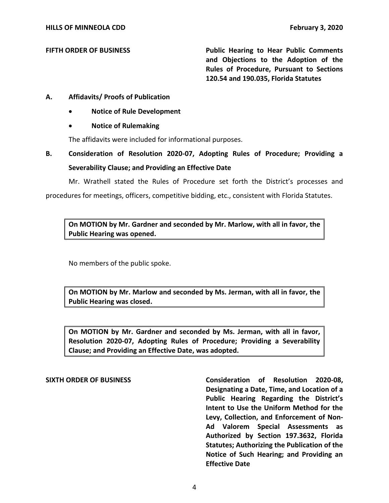### **FIFTH ORDER OF BUSINESS**

 **and Objections to the Adoption of the Rules of Procedure, Pursuant to Sections 120.54 and 190.035, Florida Statutes Public Hearing to Hear Public Comments** 

### **A. Affidavits/ Proofs of Publication**

- **Notice of Rule Development**
- **Notice of Rulemaking**

The affidavits were included for informational purposes.

# **B. Consideration of Resolution 2020-07, Adopting Rules of Procedure; Providing a Severability Clause; and Providing an Effective Date**

 Mr. Wrathell stated the Rules of Procedure set forth the District's processes and procedures for meetings, officers, competitive bidding, etc., consistent with Florida Statutes.

 **On MOTION by Mr. Gardner and seconded by Mr. Marlow, with all in favor, the Public Hearing was opened.** 

No members of the public spoke.

 **On MOTION by Mr. Marlow and seconded by Ms. Jerman, with all in favor, the Public Hearing was closed.** 

 **On MOTION by Mr. Gardner and seconded by Ms. Jerman, with all in favor, Resolution 2020-07, Adopting Rules of Procedure; Providing a Severability Clause; and Providing an Effective Date, was adopted.** 

 **SIXTH ORDER OF BUSINESS Consideration of Resolution 2020-08, Designating a Date, Time, and Location of a Public Hearing Regarding the District's Intent to Use the Uniform Method for the Ad Valorem Special Assessments as Authorized by Section 197.3632, Florida Statutes; Authorizing the Publication of the Notice of Such Hearing; and Providing an Levy, Collection, and Enforcement of Non-Effective Date**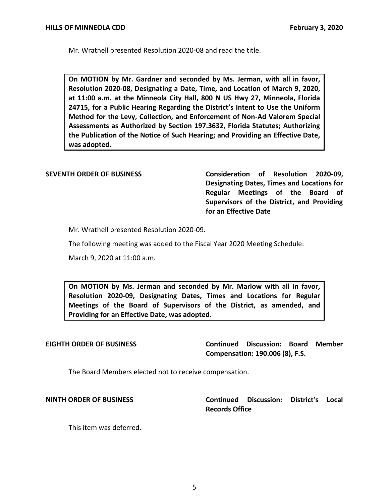Mr. Wrathell presented Resolution 2020-08 and read the title.

 **On MOTION by Mr. Gardner and seconded by Ms. Jerman, with all in favor, Resolution 2020-08, Designating a Date, Time, and Location of March 9, 2020, at 11:00 a.m. at the Minneola City Hall, 800 N US Hwy 27, Minneola, Florida 24715, for a Public Hearing Regarding the District's Intent to Use the Uniform Method for the Levy, Collection, and Enforcement of Non-Ad Valorem Special Assessments as Authorized by Section 197.3632, Florida Statutes; Authorizing the Publication of the Notice of Such Hearing; and Providing an Effective Date, was adopted.** 

 **SEVENTH ORDER OF BUSINESS Consideration of Resolution 2020-09, Regular Meetings of the Board of Supervisors of the District, and Providing for an Effective Date Designating Dates, Times and Locations for** 

Mr. Wrathell presented Resolution 2020-09.

The following meeting was added to the Fiscal Year 2020 Meeting Schedule:

March 9, 2020 at 11:00 a.m.

 **On MOTION by Ms. Jerman and seconded by Mr. Marlow with all in favor, Resolution 2020-09, Designating Dates, Times and Locations for Regular Meetings of the Board of Supervisors of the District, as amended, and Providing for an Effective Date, was adopted.** 

### **FIGHTH ORDER OF BUSINESS**

 **Compensation: 190.006 (8), F.S. Continued Discussion: Board Member** 

The Board Members elected not to receive compensation.

**NINTH ORDER OF BUSINESS** 

**NINTH ORDER OF BUSINESS Continued Discussion: District's Local Records Office** 

This item was deferred.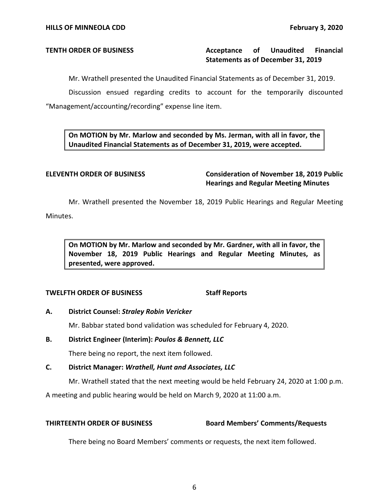## **TENTH ORDER OF BUSINESS Acceptance of Unaudited Financial Statements as of December 31, 2019**

Mr. Wrathell presented the Unaudited Financial Statements as of December 31, 2019.

 Discussion ensued regarding credits to account for the temporarily discounted "Management/accounting/recording" expense line item.

 **On MOTION by Mr. Marlow and seconded by Ms. Jerman, with all in favor, the Unaudited Financial Statements as of December 31, 2019, were accepted.** 

 **ELEVENTH ORDER OF BUSINESS Consideration of November 18, 2019 Public Hearings and Regular Meeting Minutes** 

 Mr. Wrathell presented the November 18, 2019 Public Hearings and Regular Meeting Minutes.

 **On MOTION by Mr. Marlow and seconded by Mr. Gardner, with all in favor, the November 18, 2019 Public Hearings and Regular Meeting Minutes, as presented, were approved.** 

### **TWELFTH ORDER OF BUSINESS** Staff Reports

### **A. District Counsel:** *Straley Robin Vericker*

Mr. Babbar stated bond validation was scheduled for February 4, 2020.

### **B. District Engineer (Interim):** *Poulos & Bennett, LLC*

There being no report, the next item followed.

### **C. District Manager:** *Wrathell, Hunt and Associates, LLC*

Mr. Wrathell stated that the next meeting would be held February 24, 2020 at 1:00 p.m.

A meeting and public hearing would be held on March 9, 2020 at 11:00 a.m.

### **THIRTEENTH ORDER OF BUSINESS Board Members' Comments/Requests**

There being no Board Members' comments or requests, the next item followed.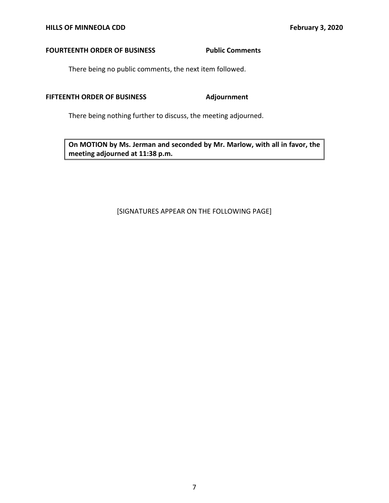### **FOURTEENTH ORDER OF BUSINESS FOURTEENTH ORDER OF BUSINESS**

There being no public comments, the next item followed.

### **FIFTEENTH ORDER OF BUSINESS Adjournment**

There being nothing further to discuss, the meeting adjourned.

 **On MOTION by Ms. Jerman and seconded by Mr. Marlow, with all in favor, the meeting adjourned at 11:38 p.m.** 

### [SIGNATURES APPEAR ON THE FOLLOWING PAGE]